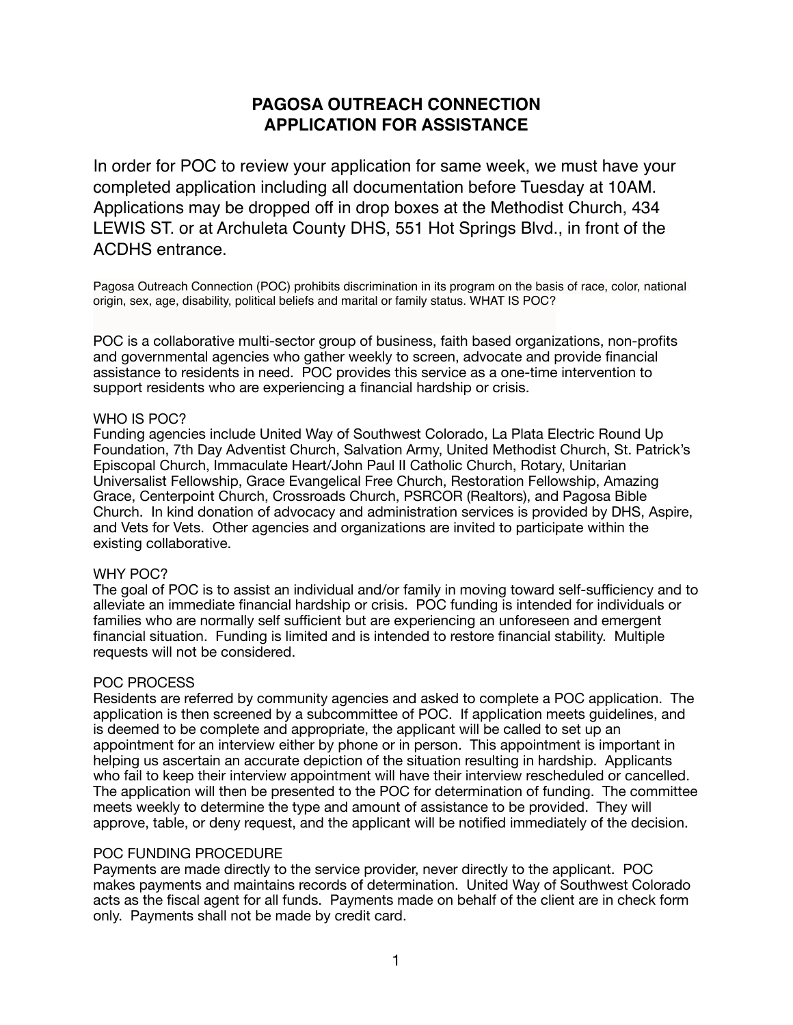# **PAGOSA OUTREACH CONNECTION APPLICATION FOR ASSISTANCE**

In order for POC to review your application for same week, we must have your completed application including all documentation before Tuesday at 10AM. Applications may be dropped off in drop boxes at the Methodist Church, 434 LEWIS ST. or at Archuleta County DHS, 551 Hot Springs Blvd., in front of the ACDHS entrance.

Pagosa Outreach Connection (POC) prohibits discrimination in its program on the basis of race, color, national origin, sex, age, disability, political beliefs and marital or family status. WHAT IS POC?

POC is a collaborative multi-sector group of business, faith based organizations, non-profits and governmental agencies who gather weekly to screen, advocate and provide financial assistance to residents in need. POC provides this service as a one-time intervention to support residents who are experiencing a financial hardship or crisis.

#### WHO IS POC?

Funding agencies include United Way of Southwest Colorado, La Plata Electric Round Up Foundation, 7th Day Adventist Church, Salvation Army, United Methodist Church, St. Patrick's Episcopal Church, Immaculate Heart/John Paul II Catholic Church, Rotary, Unitarian Universalist Fellowship, Grace Evangelical Free Church, Restoration Fellowship, Amazing Grace, Centerpoint Church, Crossroads Church, PSRCOR (Realtors), and Pagosa Bible Church. In kind donation of advocacy and administration services is provided by DHS, Aspire, and Vets for Vets. Other agencies and organizations are invited to participate within the existing collaborative.

#### WHY POC?

The goal of POC is to assist an individual and/or family in moving toward self-sufficiency and to alleviate an immediate financial hardship or crisis. POC funding is intended for individuals or families who are normally self sufficient but are experiencing an unforeseen and emergent financial situation. Funding is limited and is intended to restore financial stability. Multiple requests will not be considered.

#### POC PROCESS

Residents are referred by community agencies and asked to complete a POC application. The application is then screened by a subcommittee of POC. If application meets guidelines, and is deemed to be complete and appropriate, the applicant will be called to set up an appointment for an interview either by phone or in person. This appointment is important in helping us ascertain an accurate depiction of the situation resulting in hardship. Applicants who fail to keep their interview appointment will have their interview rescheduled or cancelled. The application will then be presented to the POC for determination of funding. The committee meets weekly to determine the type and amount of assistance to be provided. They will approve, table, or deny request, and the applicant will be notified immediately of the decision.

#### POC FUNDING PROCEDURE

Payments are made directly to the service provider, never directly to the applicant. POC makes payments and maintains records of determination. United Way of Southwest Colorado acts as the fiscal agent for all funds. Payments made on behalf of the client are in check form only. Payments shall not be made by credit card.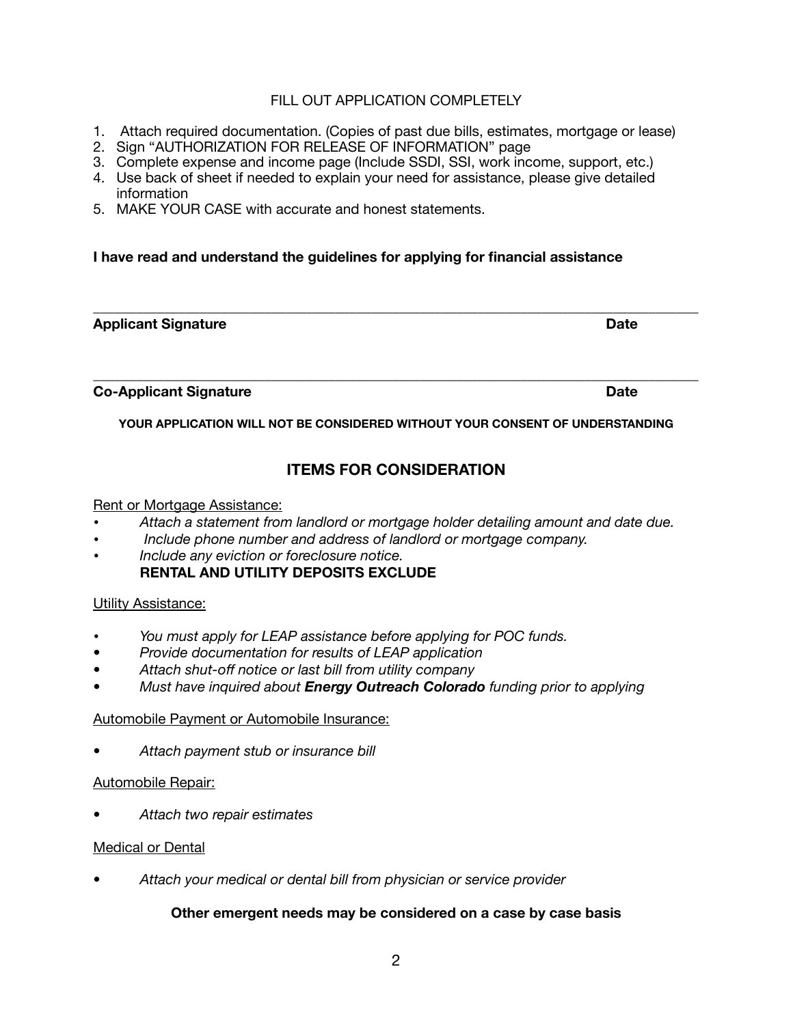## FILL OUT APPLICATION COMPLETELY

- 1. Attach required documentation. (Copies of past due bills, estimates, mortgage or lease)
- 2. Sign "AUTHORIZATION FOR RELEASE OF INFORMATION" page
- 3. Complete expense and income page (Include SSDI, SSI, work income, support, etc.)
- 4. Use back of sheet if needed to explain your need for assistance, please give detailed information
- 5. MAKE YOUR CASE with accurate and honest statements.

## **I have read and understand the guidelines for applying for financial assistance**

#### **Applicant Signature Date 2008 Contract Applicant Signature Date 2008 Contract Applicant Date 2008 Contract Applicant Date 2008 Contract Applicant Date 2008 Contract Applicant Date 2008 Contract Applicant Date 2008 Contrac**

**Co-Applicant Signature Date Accord Accord Property Co-Applicant Signature Date** 

**YOUR APPLICATION WILL NOT BE CONSIDERED WITHOUT YOUR CONSENT OF UNDERSTANDING** 

**\_\_\_\_\_\_\_\_\_\_\_\_\_\_\_\_\_\_\_\_\_\_\_\_\_\_\_\_\_\_\_\_\_\_\_\_\_\_\_\_\_\_\_\_\_\_\_\_\_\_\_\_\_\_\_\_\_\_\_\_\_\_\_\_\_\_\_\_\_\_\_\_\_\_\_\_\_\_\_\_\_\_\_\_\_**

**\_\_\_\_\_\_\_\_\_\_\_\_\_\_\_\_\_\_\_\_\_\_\_\_\_\_\_\_\_\_\_\_\_\_\_\_\_\_\_\_\_\_\_\_\_\_\_\_\_\_\_\_\_\_\_\_\_\_\_\_\_\_\_\_\_\_\_\_\_\_\_\_\_\_\_\_\_\_\_\_\_\_\_\_\_** 

# **ITEMS FOR CONSIDERATION**

#### Rent or Mortgage Assistance:

- *Attach a statement from landlord or mortgage holder detailing amount and date due.*
- • *Include phone number and address of landlord or mortgage company.*
- *Include any eviction or foreclosure notice.*  **RENTAL AND UTILITY DEPOSITS EXCLUDE**

## Utility Assistance:

- *You must apply for LEAP assistance before applying for POC funds.*
- *• Provide documentation for results of LEAP application*
- *• Attach shut-off notice or last bill from utility company*
- *• Must have inquired about Energy Outreach Colorado funding prior to applying*

## Automobile Payment or Automobile Insurance:

*• Attach payment stub or insurance bill* 

## Automobile Repair:

*• Attach two repair estimates* 

#### Medical or Dental

*• Attach your medical or dental bill from physician or service provider* 

## **Other emergent needs may be considered on a case by case basis**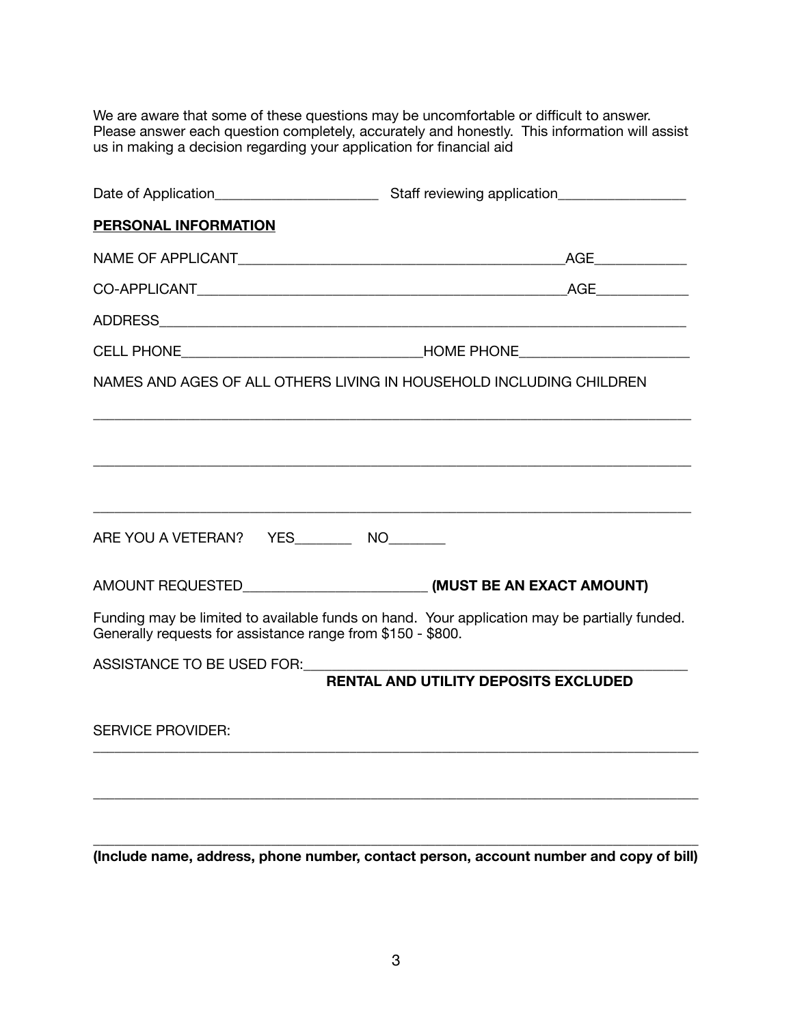We are aware that some of these questions may be uncomfortable or difficult to answer. Please answer each question completely, accurately and honestly. This information will assist us in making a decision regarding your application for financial aid

| PERSONAL INFORMATION                                        |                                                                                              |  |  |
|-------------------------------------------------------------|----------------------------------------------------------------------------------------------|--|--|
|                                                             |                                                                                              |  |  |
|                                                             |                                                                                              |  |  |
|                                                             |                                                                                              |  |  |
|                                                             |                                                                                              |  |  |
|                                                             | NAMES AND AGES OF ALL OTHERS LIVING IN HOUSEHOLD INCLUDING CHILDREN                          |  |  |
|                                                             | ,我们也不能在这里的人,我们也不能在这里的人,我们也不能在这里的人,我们也不能在这里的人,我们也不能在这里的人,我们也不能在这里的人,我们也不能在这里的人,我们也            |  |  |
| ARE YOU A VETERAN? YES____________ NO_________              |                                                                                              |  |  |
|                                                             |                                                                                              |  |  |
| Generally requests for assistance range from \$150 - \$800. | Funding may be limited to available funds on hand. Your application may be partially funded. |  |  |
| ASSISTANCE TO BE USED FOR:                                  | <b>RENTAL AND UTILITY DEPOSITS EXCLUDED</b>                                                  |  |  |
| <b>SERVICE PROVIDER:</b>                                    |                                                                                              |  |  |
|                                                             |                                                                                              |  |  |
|                                                             |                                                                                              |  |  |
|                                                             | (Include name, address, phone number, contact person, account number and copy of bill)       |  |  |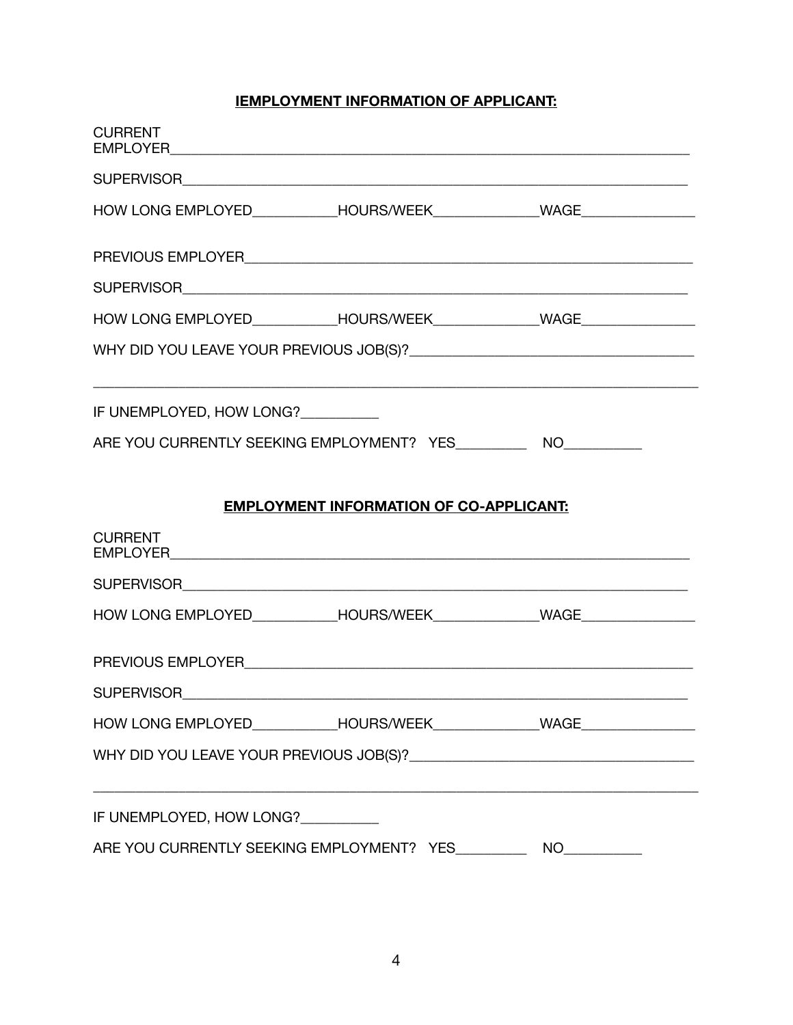# **IEMPLOYMENT INFORMATION OF APPLICANT:**

| <b>CURRENT</b>                                                     |                                                |  |  |
|--------------------------------------------------------------------|------------------------------------------------|--|--|
|                                                                    |                                                |  |  |
|                                                                    |                                                |  |  |
|                                                                    |                                                |  |  |
|                                                                    |                                                |  |  |
|                                                                    |                                                |  |  |
|                                                                    |                                                |  |  |
| IF UNEMPLOYED, HOW LONG?__________                                 |                                                |  |  |
| ARE YOU CURRENTLY SEEKING EMPLOYMENT? YES___________ NO___________ |                                                |  |  |
|                                                                    | <b>EMPLOYMENT INFORMATION OF CO-APPLICANT:</b> |  |  |
| <b>CURRENT</b>                                                     |                                                |  |  |
|                                                                    |                                                |  |  |
|                                                                    |                                                |  |  |
|                                                                    |                                                |  |  |
| <b>SUPERVISOR</b>                                                  |                                                |  |  |
|                                                                    |                                                |  |  |
|                                                                    |                                                |  |  |
| IF UNEMPLOYED, HOW LONG?__________                                 |                                                |  |  |
| ARE YOU CURRENTLY SEEKING EMPLOYMENT? YES<br>NO D                  |                                                |  |  |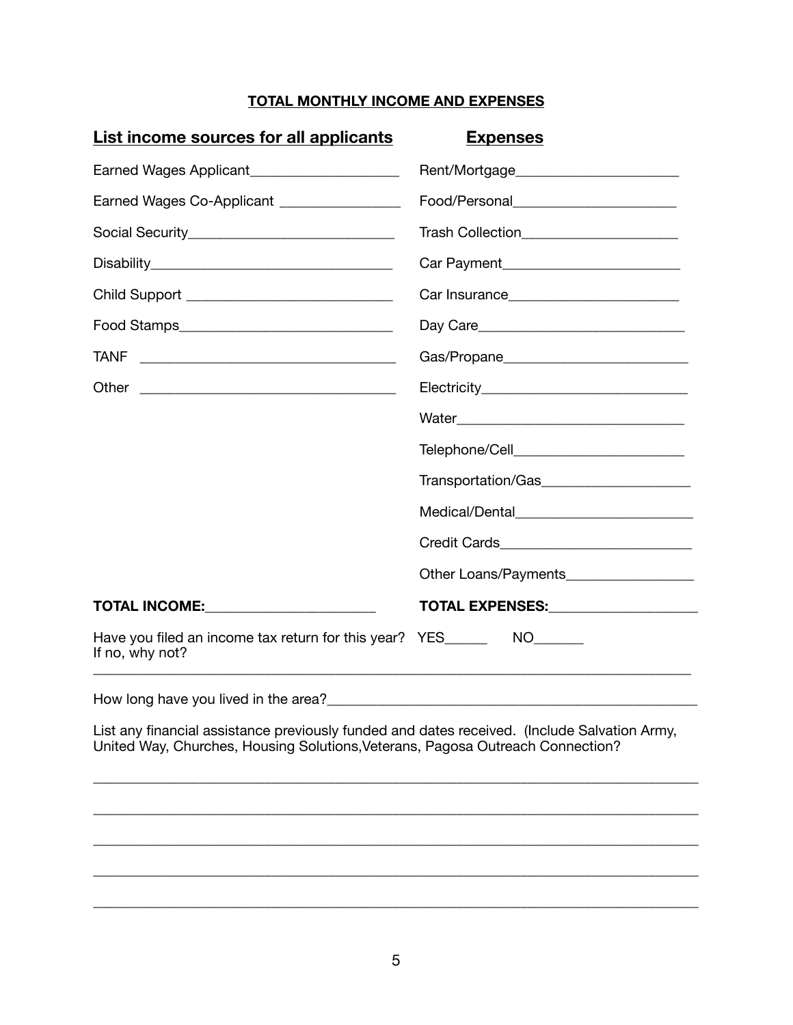# **TOTAL MONTHLY INCOME AND EXPENSES**

| <u>Expenses</u>                                                                                                                                                                |
|--------------------------------------------------------------------------------------------------------------------------------------------------------------------------------|
|                                                                                                                                                                                |
|                                                                                                                                                                                |
| Trash Collection________________________                                                                                                                                       |
|                                                                                                                                                                                |
|                                                                                                                                                                                |
|                                                                                                                                                                                |
|                                                                                                                                                                                |
|                                                                                                                                                                                |
|                                                                                                                                                                                |
|                                                                                                                                                                                |
| Transportation/Gas________________________                                                                                                                                     |
| Medical/Dental___________________________                                                                                                                                      |
| Credit Cards_______________________________                                                                                                                                    |
| Other Loans/Payments__________________                                                                                                                                         |
| TOTAL EXPENSES: ____________________                                                                                                                                           |
| Have you filed an income tax return for this year? YES__________ NO_______                                                                                                     |
|                                                                                                                                                                                |
| List any financial assistance previously funded and dates received. (Include Salvation Army,<br>United Way, Churches, Housing Solutions, Veterans, Pagosa Outreach Connection? |
|                                                                                                                                                                                |
|                                                                                                                                                                                |
|                                                                                                                                                                                |

\_\_\_\_\_\_\_\_\_\_\_\_\_\_\_\_\_\_\_\_\_\_\_\_\_\_\_\_\_\_\_\_\_\_\_\_\_\_\_\_\_\_\_\_\_\_\_\_\_\_\_\_\_\_\_\_\_\_\_\_\_\_\_\_\_\_\_\_\_\_\_\_\_\_\_\_\_\_\_\_\_\_\_\_\_

\_\_\_\_\_\_\_\_\_\_\_\_\_\_\_\_\_\_\_\_\_\_\_\_\_\_\_\_\_\_\_\_\_\_\_\_\_\_\_\_\_\_\_\_\_\_\_\_\_\_\_\_\_\_\_\_\_\_\_\_\_\_\_\_\_\_\_\_\_\_\_\_\_\_\_\_\_\_\_\_\_\_\_\_\_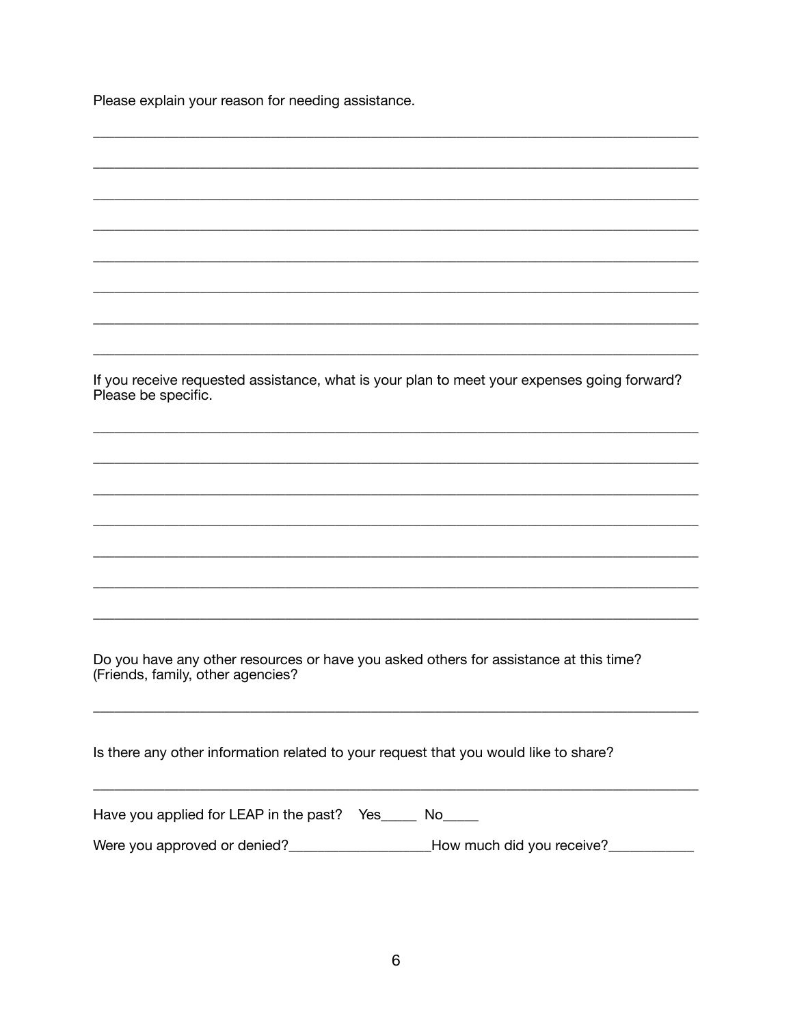Please explain your reason for needing assistance.

| If you receive requested assistance, what is your plan to meet your expenses going forward?<br>Please be specific.         |
|----------------------------------------------------------------------------------------------------------------------------|
|                                                                                                                            |
|                                                                                                                            |
|                                                                                                                            |
|                                                                                                                            |
|                                                                                                                            |
|                                                                                                                            |
|                                                                                                                            |
|                                                                                                                            |
| Do you have any other resources or have you asked others for assistance at this time?<br>(Friends, family, other agencies? |
| Is there any other information related to your request that you would like to share?                                       |
| Have you applied for LEAP in the past? Yes_____ No____                                                                     |
| Were you approved or denied?_____________________How much did you receive?___________                                      |
|                                                                                                                            |